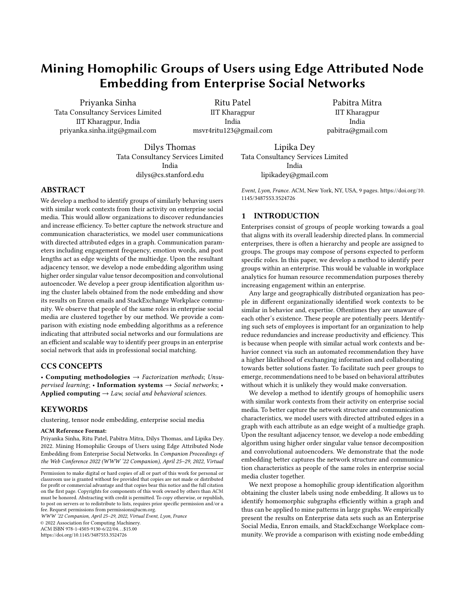# Mining Homophilic Groups of Users using Edge Attributed Node Embedding from Enterprise Social Networks

[Priyanka Sinha](https://orcid.org/0000-0002-7971-4449) Tata Consultancy Services Limited IIT Kharagpur, India priyanka.sinha.iitg@gmail.com

Ritu Patel IIT Kharagpur India msvr4ritu123@gmail.com

[Pabitra Mitra](https://orcid.org/0000-0002-1908-9813) IIT Kharagpur India pabitra@gmail.com

Dilys Thomas Tata Consultancy Services Limited India dilys@cs.stanford.edu

Lipika Dey Tata Consultancy Services Limited India

ABSTRACT

We develop a method to identify groups of similarly behaving users with similar work contexts from their activity on enterprise social media. This would allow organizations to discover redundancies and increase efficiency. To better capture the network structure and communication characteristics, we model user communications with directed attributed edges in a graph. Communication parameters including engagement frequency, emotion words, and post lengths act as edge weights of the multiedge. Upon the resultant adjacency tensor, we develop a node embedding algorithm using higher order singular value tensor decomposition and convolutional autoencoder. We develop a peer group identification algorithm using the cluster labels obtained from the node embedding and show its results on Enron emails and StackExchange Workplace community. We observe that people of the same roles in enterprise social media are clustered together by our method. We provide a comparison with existing node embedding algorithms as a reference indicating that attributed social networks and our formulations are an efficient and scalable way to identify peer groups in an enterprise social network that aids in professional social matching.

## CCS CONCEPTS

• Computing methodologies  $\rightarrow$  Factorization methods; Unsupervised learning; • Information systems  $\rightarrow$  Social networks; • Applied computing  $\rightarrow$  Law, social and behavioral sciences.

## KEYWORDS

clustering, tensor node embedding, enterprise social media

#### ACM Reference Format:

Priyanka Sinha, Ritu Patel, Pabitra Mitra, Dilys Thomas, and Lipika Dey. 2022. Mining Homophilic Groups of Users using Edge Attributed Node Embedding from Enterprise Social Networks. In Companion Proceedings of the Web Conference 2022 (WWW '22 Companion), April 25–29, 2022, Virtual

WWW '22 Companion, April 25–29, 2022, Virtual Event, Lyon, France

© 2022 Association for Computing Machinery.

ACM ISBN 978-1-4503-9130-6/22/04. . . \$15.00

<https://doi.org/10.1145/3487553.3524726>

lipikadey@gmail.com Event, Lyon, France. ACM, New York, NY, USA, [9](#page-8-0) pages. [https://doi.org/10.](https://doi.org/10.1145/3487553.3524726) [1145/3487553.3524726](https://doi.org/10.1145/3487553.3524726)

## 1 INTRODUCTION

Enterprises consist of groups of people working towards a goal that aligns with its overall leadership directed plans. In commercial enterprises, there is often a hierarchy and people are assigned to groups. The groups may compose of persons expected to perform specific roles. In this paper, we develop a method to identify peer groups within an enterprise. This would be valuable in workplace analytics for human resource recommendation purposes thereby increasing engagement within an enterprise.

Any large and geographically distributed organization has people in different organizationally identified work contexts to be similar in behavior and, expertise. Oftentimes they are unaware of each other's existence. These people are potentially peers. Identifying such sets of employees is important for an organization to help reduce redundancies and increase productivity and efficiency. This is because when people with similar actual work contexts and behavior connect via such an automated recommendation they have a higher likelihood of exchanging information and collaborating towards better solutions faster. To facilitate such peer groups to emerge, recommendations need to be based on behavioral attributes without which it is unlikely they would make conversation.

We develop a method to identify groups of homophilic users with similar work contexts from their activity on enterprise social media. To better capture the network structure and communication characteristics, we model users with directed attributed edges in a graph with each attribute as an edge weight of a multiedge graph. Upon the resultant adjacency tensor, we develop a node embedding algorithm using higher order singular value tensor decomposition and convolutional autoencoders. We demonstrate that the node embedding better captures the network structure and communication characteristics as people of the same roles in enterprise social media cluster together.

We next propose a homophilic group identification algorithm obtaining the cluster labels using node embedding. It allows us to identify homomorphic subgraphs efficiently within a graph and thus can be applied to mine patterns in large graphs. We empirically present the results on Enterprise data sets such as an Enterprise Social Media, Enron emails, and StackExchange Workplace community. We provide a comparison with existing node embedding

Permission to make digital or hard copies of all or part of this work for personal or classroom use is granted without fee provided that copies are not made or distributed for profit or commercial advantage and that copies bear this notice and the full citation on the first page. Copyrights for components of this work owned by others than ACM must be honored. Abstracting with credit is permitted. To copy otherwise, or republish, to post on servers or to redistribute to lists, requires prior specific permission and/or a fee. Request permissions from permissions@acm.org.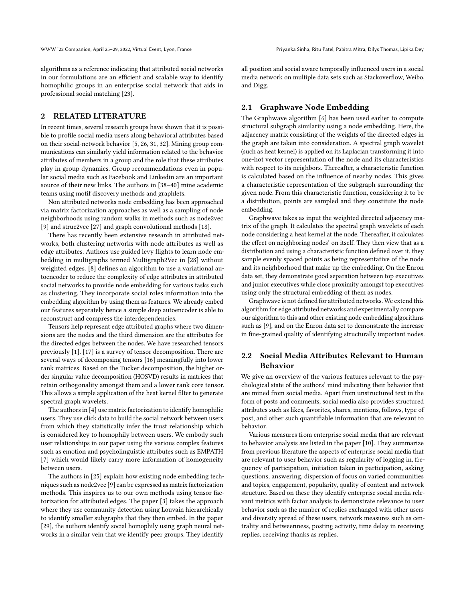algorithms as a reference indicating that attributed social networks in our formulations are an efficient and scalable way to identify homophilic groups in an enterprise social network that aids in professional social matching [\[23\]](#page-8-1).

## 2 RELATED LITERATURE

In recent times, several research groups have shown that it is possible to profile social media users along behavioral attributes based on their social-network behavior [\[5,](#page-8-2) [26,](#page-8-3) [31,](#page-8-4) [32\]](#page-8-5). Mining group communications can similarly yield information related to the behavior attributes of members in a group and the role that these attributes play in group dynamics. Group recommendations even in popular social media such as Facebook and Linkedin are an important source of their new links. The authors in [\[38–](#page-8-6)[40\]](#page-8-7) mine academic teams using motif discovery methods and graphlets.

Non attributed networks node embedding has been approached via matrix factorization approaches as well as a sampling of node neighborhoods using random walks in methods such as node2vec [\[9\]](#page-8-8) and struc2vec [\[27\]](#page-8-9) and graph convolutional methods [\[18\]](#page-8-10).

There has recently been extensive research in attributed networks, both clustering networks with node attributes as well as edge attributes. Authors use guided levy flights to learn node embedding in multigraphs termed Multigraph2Vec in [\[28\]](#page-8-11) without weighted edges. [\[8\]](#page-8-12) defines an algorithm to use a variational autoencoder to reduce the complexity of edge attributes in attributed social networks to provide node embedding for various tasks such as clustering. They incorporate social roles information into the embedding algorithm by using them as features. We already embed our features separately hence a simple deep autoencoder is able to reconstruct and compress the interdependencies.

Tensors help represent edge attributed graphs where two dimensions are the nodes and the third dimension are the attributes for the directed edges between the nodes. We have researched tensors previously [\[1\]](#page-8-13). [\[17\]](#page-8-14) is a survey of tensor decomposition. There are several ways of decomposing tensors [\[16\]](#page-8-15) meaningfully into lower rank matrices. Based on the Tucker decomposition, the higher order singular value decomposition (HOSVD) results in matrices that retain orthogonality amongst them and a lower rank core tensor. This allows a simple application of the heat kernel filter to generate spectral graph wavelets.

The authors in [\[4\]](#page-8-16) use matrix factorization to identify homophilic users. They use click data to build the social network between users from which they statistically infer the trust relationship which is considered key to homophily between users. We embody such user relationships in our paper using the various complex features such as emotion and psycholinguistic attributes such as EMPATH [\[7\]](#page-8-17) which would likely carry more information of homogeneity between users.

The authors in [\[25\]](#page-8-18) explain how existing node embedding techniques such as node2vec [\[9\]](#page-8-8) can be expressed as matrix factorization methods. This inspires us to our own methods using tensor factorization for attributed edges. The paper [\[3\]](#page-8-19) takes the approach where they use community detection using Louvain hierarchically to identify smaller subgraphs that they then embed. In the paper [\[29\]](#page-8-20), the authors identify social homophily using graph neural networks in a similar vein that we identify peer groups. They identify

all position and social aware temporally influenced users in a social media network on multiple data sets such as Stackoverflow, Weibo, and Digg.

#### 2.1 Graphwave Node Embedding

The Graphwave algorithm [\[6\]](#page-8-21) has been used earlier to compute structural subgraph similarity using a node embedding. Here, the adjacency matrix consisting of the weights of the directed edges in the graph are taken into consideration. A spectral graph wavelet (such as heat kernel) is applied on its Laplacian transforming it into one-hot vector representation of the node and its characteristics with respect to its neighbors. Thereafter, a characteristic function is calculated based on the influence of nearby nodes. This gives a characteristic representation of the subgraph surrounding the given node. From this characteristic function, considering it to be a distribution, points are sampled and they constitute the node embedding.

Graphwave takes as input the weighted directed adjacency matrix of the graph. It calculates the spectral graph wavelets of each node considering a heat kernel at the node. Thereafter, it calculates the effect on neighboring nodes' on itself. They then view that as a distribution and using a characteristic function defined over it, they sample evenly spaced points as being representative of the node and its neighborhood that make up the embedding. On the Enron data set, they demonstrate good separation between top executives and junior executives while close proximity amongst top executives using only the structural embedding of them as nodes.

Graphwave is not defined for attributed networks. We extend this algorithm for edge attributed networks and experimentally compare our algorithm to this and other existing node embedding algorithms such as [\[9\]](#page-8-8), and on the Enron data set to demonstrate the increase in fine-grained quality of identifying structurally important nodes.

## 2.2 Social Media Attributes Relevant to Human Behavior

We give an overview of the various features relevant to the psychological state of the authors' mind indicating their behavior that are mined from social media. Apart from unstructured text in the form of posts and comments, social media also provides structured attributes such as likes, favorites, shares, mentions, follows, type of post, and other such quantifiable information that are relevant to behavior.

Various measures from enterprise social media that are relevant to behavior analysis are listed in the paper [\[10\]](#page-8-22). They summarize from previous literature the aspects of enterprise social media that are relevant to user behavior such as regularity of logging in, frequency of participation, initiation taken in participation, asking questions, answering, dispersion of focus on varied communities and topics, engagement, popularity, quality of content and network structure. Based on these they identify enterprise social media relevant metrics with factor analysis to demonstrate relevance to user behavior such as the number of replies exchanged with other users and diversity spread of these users, network measures such as centrality and betweenness, posting activity, time delay in receiving replies, receiving thanks as replies.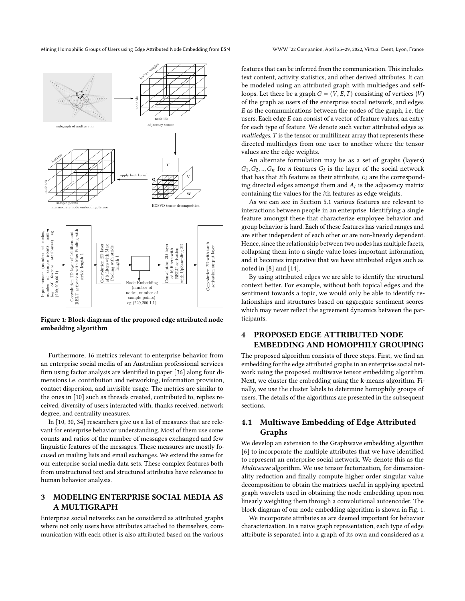<span id="page-2-0"></span>

Figure 1: Block diagram of the proposed edge attributed node embedding algorithm

Furthermore, 16 metrics relevant to enterprise behavior from an enterprise social media of an Australian professional services firm using factor analysis are identified in paper [\[36\]](#page-8-23) along four dimensions i.e. contribution and networking, information provision, contact dispersion, and invisible usage. The metrics are similar to the ones in [\[10\]](#page-8-22) such as threads created, contributed to, replies received, diversity of users interacted with, thanks received, network degree, and centrality measures.

In [\[10,](#page-8-22) [30,](#page-8-24) [34\]](#page-8-25) researchers give us a list of measures that are relevant for enterprise behavior understanding. Most of them use some counts and ratios of the number of messages exchanged and few linguistic features of the messages. These measures are mostly focused on mailing lists and email exchanges. We extend the same for our enterprise social media data sets. These complex features both from unstructured text and structured attributes have relevance to human behavior analysis.

## 3 MODELING ENTERPRISE SOCIAL MEDIA AS A MULTIGRAPH

Enterprise social networks can be considered as attributed graphs where not only users have attributes attached to themselves, communication with each other is also attributed based on the various

features that can be inferred from the communication. This includes text content, activity statistics, and other derived attributes. It can be modeled using an attributed graph with multiedges and selfloops. Let there be a graph  $G = (V, E, T)$  consisting of vertices  $(V)$ of the graph as users of the enterprise social network, and edges  $E$  as the communications between the nodes of the graph, i.e. the users. Each edge  $E$  can consist of a vector of feature values, an entry for each type of feature. We denote such vector attributed edges as  $multiedges.$  T is the tensor or multilinear array that represents these directed multiedges from one user to another where the tensor values are the edge weights.

An alternate formulation may be as a set of graphs (layers)  $G_1, G_2, ..., G_n$  for *n* features  $G_i$  is the layer of the social network that has that ith feature as their attribute,  $E_i$  are the corresponding directed edges amongst them and  $A_i$  is the adjacency matrix containing the values for the th features as edge weights.

As we can see in Section [5.1](#page-5-0) various features are relevant to interactions between people in an enterprise. Identifying a single feature amongst these that characterize employee behavior and group behavior is hard. Each of these features has varied ranges and are either independent of each other or are non-linearly dependent. Hence, since the relationship between two nodes has multiple facets, collapsing them into a single value loses important information, and it becomes imperative that we have attributed edges such as noted in [\[8\]](#page-8-12) and [\[14\]](#page-8-26).

By using attributed edges we are able to identify the structural context better. For example, without both topical edges and the sentiment towards a topic, we would only be able to identify relationships and structures based on aggregate sentiment scores which may never reflect the agreement dynamics between the participants.

# 4 PROPOSED EDGE ATTRIBUTED NODE EMBEDDING AND HOMOPHILY GROUPING

The proposed algorithm consists of three steps. First, we find an embedding for the edge attributed graphs in an enterprise social network using the proposed multiwave tensor embedding algorithm. Next, we cluster the embedding using the k-means algorithm. Finally, we use the cluster labels to determine homophily groups of users. The details of the algorithms are presented in the subsequent sections.

## 4.1 Multiwave Embedding of Edge Attributed Graphs

We develop an extension to the Graphwave embedding algorithm [\[6\]](#page-8-21) to incorporate the multiple attributes that we have identified to represent an enterprise social network. We denote this as the Multiwave algorithm. We use tensor factorization, for dimensionality reduction and finally compute higher order singular value decomposition to obtain the matrices useful in applying spectral graph wavelets used in obtaining the node embedding upon non linearly weighting them through a convolutional autoencoder. The block diagram of our node embedding algorithm is shown in Fig. [1.](#page-2-0)

We incorporate attributes as are deemed important for behavior characterization. In a naive graph representation, each type of edge attribute is separated into a graph of its own and considered as a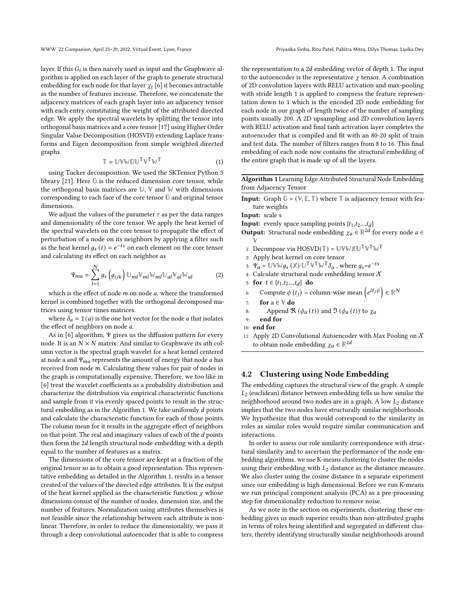layer. If this  $G_i$  is then naively used as input and the Graphwave algorithm is applied on each layer of the graph to generate structural embedding for each node for that layer  $\chi_i$  [\[6\]](#page-8-21) it becomes intractable as the number of features increase. Therefore, we concatenate the adjacency matrices of each graph layer into an adjacency tensor with each entry constituting the weight of the attributed directed edge. We apply the spectral wavelets by splitting the tensor into orthogonal basis matrices and a core tensor [\[17\]](#page-8-14) using Higher Order Singular Value Decomposition (HOSVD) extending Laplace transforms and Eigen decomposition from simple weighted directed graphs.

$$
\mathbb{T} = \mathbb{U}\mathbb{V}\mathbb{W}\mathbb{G}\mathbb{U}^{\mathbb{T}}\mathbb{V}^{\mathbb{T}}\mathbb{W}^{\mathbb{T}}
$$
 (1)

using Tucker decomposition. We used the SKTensor Python 3 library [\[21\]](#page-8-27). Here **G** is the reduced dimension core tensor, while the orthogonal basis matrices are  $\mathbb{U}$ ,  $\mathbb{V}$  and  $\mathbb{W}$  with dimensions corresponding to each face of the core tensor **G** and original tensor dimensions.

We adjust the values of the parameter  $\tau$  as per the data ranges and dimensionality of the core tensor. We apply the heat kernel of the spectral wavelets on the core tensor to propagate the effect of perturbation of a node on its neighbors by applying a filter such as the heat kernel  $g_s(t) = e^{-ts}$  on each element on the core tensor and calculating its effect on each neighbor as

$$
\Psi_{ma} = \sum_{l=1}^{N} g_s \left( g_{ijk} \right) \mathbb{U}_{ml} \mathbb{V}_{ml} \mathbb{W}_{ml} \mathbb{U}_{al} \mathbb{V}_{al} \mathbb{W}_{al}
$$
 (2)

which is the effect of node  $m$  on node  $a$ , where the transformed kernel is combined together with the orthogonal decomposed matrices using tensor times matrices.

where  $\delta_a = \mathbb{1}(a)$  is the one hot vector for the node *a* that isolates the effect of neighbors on node  $a$ .

As in [\[6\]](#page-8-21) algorithm, Ψ gives us the diffusion pattern for every node. It is an  $N \times N$  matrix. And similar to Graphwave its ath column vector is the spectral graph wavelet for a heat kernel centered at node a and  $\Psi_{ma}$  represents the amount of energy that node a has received from node  $m$ . Calculating these values for pair of nodes in the graph is computationally expensive. Therefore, we too like in [\[6\]](#page-8-21) treat the wavelet coefficients as a probability distribution and characterize the distribution via empirical characteristic functions and sample from it via evenly spaced points to result in the struc-tural embedding as in the Algorithm [1.](#page-3-0) We take uniformly  $d$  points and calculate the characteristic function for each of those points. The column mean for it results in the aggregate effect of neighbors on that point. The real and imaginary values of each of the  $d$  points then form the  $2d$  length structural node embedding with a depth equal to the number of features as a matrix.

The dimensions of the core tensor are kept at a fraction of the original tensor so as to obtain a good representation. This representative embedding as detailed in the Algorithm [1,](#page-3-0) results in a tensor created of the values of the directed edge attributes. It is the output of the heat kernel applied as the characteristic function  $\chi$  whose dimensions consist of the number of nodes, dimension size, and the number of features. Normalization using attributes themselves is not feasible since the relationship between each attribute is nonlinear. Therefore, in order to reduce the dimensionality, we pass it through a deep convolutional autoencoder that is able to compress

the representation to a  $2d$  embedding vector of depth 1. The input to the autoencoder is the representative  $\chi$  tensor. A combination of 2D convolution layers with RELU activation and max-pooling with stride length 1 is applied to compress the feature representation down to 1 which is the encoded 2D node embedding for each node in our graph of length twice of the number of sampling points usually 200. A 2D upsampling and 2D convolution layers with RELU activation and final tanh activation layer completes the autoencoder that is compiled and fit with an 80-20 split of train and test data. The number of filters ranges from 8 to 16. This final embedding of each node now contains the structural embedding of the entire graph that is made up of all the layers.

<span id="page-3-0"></span>Algorithm 1 Learning Edge Attributed Structural Node Embedding from Adjacency Tensor

**Input:** Graph  $G = (\mathbb{V}, \mathbb{E}, \mathbb{T})$  where  $\mathbb{T}$  is adjacency tensor with feature weights

Input: scale s

**Input:** evenly space sampling points  $\{t_1, t_2, ..., t_d\}$ 

- **Output:** Structural node embedding  $\chi_a \in \mathbb{R}^{2d}$  for every node  $a \in$ **V**
- 1: Decompose via  $HOSVD(T) = UVWXU^T V^T W^T$
- 2: Apply heat kernel on core tensor

3: 
$$
\Psi_a = \mathbb{U} \mathbb{W} \mathbb{W} g_s (\mathbb{X}) \mathbb{U}^\top \mathbb{V}^\top \mathbb{W}^\top \delta_a
$$
, where  $g_s = e^{-ts}$ 

- 4: Calculate structural node embedding tensor  $X$
- 5: for  $t \in \{t_1, t_2, ..., t_d\}$  do
- 6: Compute  $\phi(t_i)$  = column-wise mean  $\left(e^{it_j\psi}\right) \in \mathbb{R}^N$

```
7: for a \in V do
```
- 8: Append  $\Re(\phi_a(t))$  and  $\Im(\phi_a(t))$  to  $\chi_a$
- 9: end for

11: Apply 2D Convolutional Autoencoder with Max Pooling on  $X$ to obtain node embedding  $\chi_a \in \mathbb{R}^{2d}$ 

## 4.2 Clustering using Node Embedding

The embedding captures the structural view of the graph. A simple  $L_2$  (euclidean) distance between embedding tells us how similar the neighborhood around two nodes are in a graph. A low  $L_2$  distance implies that the two nodes have structurally similar neighborhoods. We hypothesize that this would correspond to the similarity in roles as similar roles would require similar communication and interactions.

In order to assess our role similarity correspondence with structural similarity and to ascertain the performance of the node embedding algorithms, we use K-means clustering to cluster the nodes using their embedding with  $L_2$  distance as the distance measure. We also cluster using the cosine distance in a separate experiment since our embedding is high dimensional. Before we run K-means we run principal component analysis (PCA) as a pre-processing step for dimensionality reduction to remove noise.

As we note in the section on experiments, clustering these embedding gives us much superior results than non-attributed graphs in terms of roles being identified and segregated in different clusters; thereby identifying structurally similar neighborhoods around

<sup>10:</sup> end for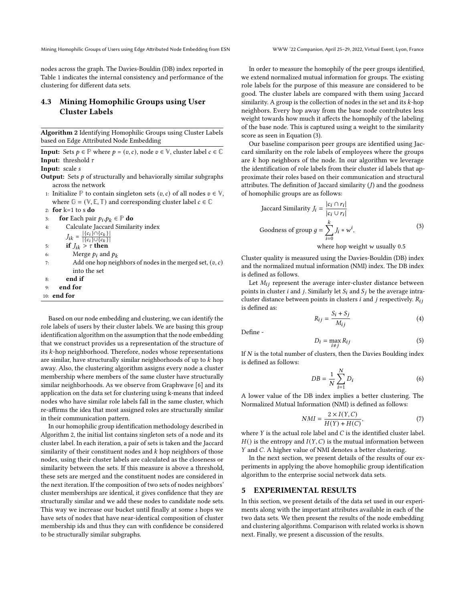nodes across the graph. The Davies-Bouldin (DB) index reported in Table [1](#page-7-0) indicates the internal consistency and performance of the clustering for different data sets.

## 4.3 Mining Homophilic Groups using User Cluster Labels

<span id="page-4-0"></span>Algorithm 2 Identifying Homophilic Groups using Cluster Labels based on Edge Attributed Node Embedding

**Input:** Sets  $p \in \mathbb{P}$  where  $p = (v, c)$ , node  $v \in \mathbb{V}$ , cluster label  $c \in \mathbb{C}$ **Input:** threshold  $\tau$ 

Input: scale s

- **Output:** Sets  $p$  of structurally and behaviorally similar subgraphs across the network
- 1: Initialize  $\mathbb P$  to contain singleton sets  $(v, c)$  of all nodes  $v \in \mathbb V$ , where  $\mathbb{G} = (\mathbb{V}, \mathbb{E}, \mathbb{T})$  and corresponding cluster label  $c \in \mathbb{C}$
- 2: for k=1 to s do
- 3: **for** Each pair  $p_i, p_k \in \mathbb{P}$  **do**

4: Calculate Jaccard Similarity index

 $J_{ik} = \frac{|\{c_i\} \cap \{c_k\}|}{|f_{ci} \cup |f_{ci} \cup |}$ 

- $\vert \overline{\{c_i\} \cup \{c_k\}\vert}$ 5: if  $J_{ik} > \tau$  then
- 6: Merge  $p_i$  and  $p_k$
- 7: Add one hop neighbors of nodes in the merged set,  $(v, c)$
- into the set
- 8: end if
- 9: end for
- 10: end for

Based on our node embedding and clustering, we can identify the role labels of users by their cluster labels. We are basing this group identification algorithm on the assumption that the node embedding that we construct provides us a representation of the structure of its  $k$ -hop neighborhood. Therefore, nodes whose representations are similar, have structurally similar neighborhoods of up to  $k$  hop away. Also, the clustering algorithm assigns every node a cluster membership where members of the same cluster have structurally similar neighborhoods. As we observe from Graphwave [\[6\]](#page-8-21) and its application on the data set for clustering using k-means that indeed nodes who have similar role labels fall in the same cluster, which re-affirms the idea that most assigned roles are structurally similar in their communication pattern.

In our homophilic group identification methodology described in Algorithm [2,](#page-4-0) the initial list contains singleton sets of a node and its cluster label. In each iteration, a pair of sets is taken and the Jaccard similarity of their constituent nodes and  $k$  hop neighbors of those nodes, using their cluster labels are calculated as the closeness or similarity between the sets. If this measure is above a threshold, these sets are merged and the constituent nodes are considered in the next iteration. If the composition of two sets of nodes neighbors' cluster memberships are identical, it gives confidence that they are structurally similar and we add these nodes to candidate node sets. This way we increase our bucket until finally at some s hops we have sets of nodes that have near-identical composition of cluster membership ids and thus they can with confidence be considered to be structurally similar subgraphs.

In order to measure the homophily of the peer groups identified, we extend normalized mutual information for groups. The existing role labels for the purpose of this measure are considered to be good. The cluster labels are compared with them using Jaccard similarity. A group is the collection of nodes in the set and its  $k$ -hop neighbors. Every hop away from the base node contributes less weight towards how much it affects the homophily of the labeling of the base node. This is captured using a weight to the similarity score as seen in Equation [\(3\)](#page-4-1).

Our baseline comparison peer groups are identified using Jaccard similarity on the role labels of employees where the groups are  $k$  hop neighbors of the node. In our algorithm we leverage the identification of role labels from their cluster id labels that approximate their roles based on their communication and structural attributes. The definition of Jaccard similarity  $(I)$  and the goodness of homophilic groups are as follows:

<span id="page-4-1"></span>Jaccard Similarity 
$$
J_i = \frac{|c_i \cap r_i|}{|c_i \cup r_i|}
$$
  
Goodness of group  $g = \sum_{i=0}^{k} J_i * w^i$ , (3)

where hop weight  $w$  usually 0.5

Cluster quality is measured using the Davies-Bouldin (DB) index and the normalized mutual information (NMI) index. The DB index is defined as follows.

Let  $M_{ij}$  represent the average inter-cluster distance between points in cluster *i* and *j*. Similarly let  $S_i$  and  $S_j$  be the average intracluster distance between points in clusters  $i$  and  $j$  respectively.  $R_{ij}$ is defined as:

$$
R_{ij} = \frac{S_i + S_j}{M_{ij}}\tag{4}
$$

Define -

$$
D_i = \max_{i \neq j} R_{ij} \tag{5}
$$

If  $N$  is the total number of clusters, then the Davies Boulding index is defined as follows:

$$
DB = \frac{1}{N} \sum_{i=1}^{N} D_i
$$
 (6)

A lower value of the DB index implies a better clustering. The Normalized Mutual Information (NMI) is defined as follows:

$$
NMI = \frac{2 \times I(Y, C)}{H(Y) + H(C)},\tag{7}
$$

where  $Y$  is the actual role label and  $C$  is the identified cluster label.  $H()$  is the entropy and  $I(Y, C)$  is the mutual information between  $Y$  and  $C$ . A higher value of NMI denotes a better clustering.

In the next section, we present details of the results of our experiments in applying the above homophilic group identification algorithm to the enterprise social network data sets.

#### 5 EXPERIMENTAL RESULTS

In this section, we present details of the data set used in our experiments along with the important attributes available in each of the two data sets. We then present the results of the node embedding and clustering algorithms. Comparison with related works is shown next. Finally, we present a discussion of the results.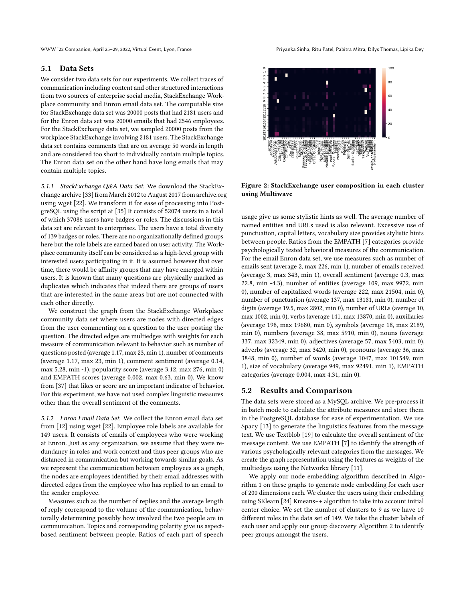#### <span id="page-5-0"></span>5.1 Data Sets

We consider two data sets for our experiments. We collect traces of communication including content and other structured interactions from two sources of enterprise social media, StackExchange Workplace community and Enron email data set. The computable size for StackExchange data set was 20000 posts that had 2181 users and for the Enron data set was 20000 emails that had 2546 employees. For the StackExchange data set, we sampled 20000 posts from the workplace StackExchange involving 2181 users. The StackExchange data set contains comments that are on average 50 words in length and are considered too short to individually contain multiple topics. The Enron data set on the other hand have long emails that may contain multiple topics.

5.1.1 StackExchange Q&A Data Set. We download the StackExchange archive [\[33\]](#page-8-28) from March 2012 to August 2017 from archive.org using wget [\[22\]](#page-8-29). We transform it for ease of processing into PostgreSQL using the script at [\[35\]](#page-8-30) It consists of 52074 users in a total of which 37086 users have badges or roles. The discussions in this data set are relevant to enterprises. The users have a total diversity of 139 badges or roles. There are no organizationally defined groups here but the role labels are earned based on user activity. The Workplace community itself can be considered as a high-level group with interested users participating in it. It is assumed however that over time, there would be affinity groups that may have emerged within users. It is known that many questions are physically marked as duplicates which indicates that indeed there are groups of users that are interested in the same areas but are not connected with each other directly.

We construct the graph from the StackExchange Workplace community data set where users are nodes with directed edges from the user commenting on a question to the user posting the question. The directed edges are multiedges with weights for each measure of communication relevant to behavior such as number of questions posted (average 1.17, max 23, min 1), number of comments (average 1.17, max 23, min 1), comment sentiment (average 0.14, max 5.28, min -1), popularity score (average 3.12, max 276, min 0) and EMPATH scores (average 0.002, max 0.63, min 0). We know from [\[37\]](#page-8-31) that likes or score are an important indicator of behavior. For this experiment, we have not used complex linguistic measures other than the overall sentiment of the comments.

5.1.2 Enron Email Data Set. We collect the Enron email data set from [\[12\]](#page-8-32) using wget [\[22\]](#page-8-29). Employee role labels are available for 149 users. It consists of emails of employees who were working at Enron. Just as any organization, we assume that they were redundancy in roles and work context and thus peer groups who are distanced in communication but working towards similar goals. As we represent the communication between employees as a graph, the nodes are employees identified by their email addresses with directed edges from the employee who has replied to an email to the sender employee.

Measures such as the number of replies and the average length of reply correspond to the volume of the communication, behaviorally determining possibly how involved the two people are in communication. Topics and corresponding polarity give us aspectbased sentiment between people. Ratios of each part of speech

<span id="page-5-1"></span>

Figure 2: StackExchange user composition in each cluster using Multiwave

usage give us some stylistic hints as well. The average number of named entities and URLs used is also relevant. Excessive use of punctuation, capital letters, vocabulary size provides stylistic hints between people. Ratios from the EMPATH [\[7\]](#page-8-17) categories provide psychologically tested behavioral measures of the communication. For the email Enron data set, we use measures such as number of emails sent (average 2, max 226, min 1), number of emails received (average 3, max 343, min 1), overall sentiment (average 0.3, max 22.8, min -4.3), number of entities (average 109, max 9972, min 0), number of capitalized words (average 222, max 21504, min 0), number of punctuation (average 137, max 13181, min 0), number of digits (average 19.5, max 2802, min 0), number of URLs (average 10, max 1002, min 0), verbs (average 141, max 13870, min 0), auxiliaries (average 198, max 19680, min 0), symbols (average 18, max 2189, min 0), numbers (average 38, max 5910, min 0), nouns (average 337, max 32349, min 0), adjectives (average 57, max 5403, min 0), adverbs (average 32, max 3420, min 0), pronouns (average 36, max 3848, min 0), number of words (average 1047, max 101549, min 1), size of vocabulary (average 949, max 92491, min 1), EMPATH categories (average 0.004, max 4.31, min 0).

### 5.2 Results and Comparison

The data sets were stored as a MySQL archive. We pre-process it in batch mode to calculate the attribute measures and store them in the PostgreSQL database for ease of experimentation. We use Spacy [\[13\]](#page-8-33) to generate the linguistics features from the message text. We use Textblob [\[19\]](#page-8-34) to calculate the overall sentiment of the message content. We use EMPATH [\[7\]](#page-8-17) to identify the strength of various psychologically relevant categories from the messages. We create the graph representation using the features as weights of the multiedges using the Networkx library [\[11\]](#page-8-35).

We apply our node embedding algorithm described in Algorithm [1](#page-3-0) on these graphs to generate node embedding for each user of 200 dimensions each. We cluster the users using their embedding using SKlearn [\[24\]](#page-8-36) Kmeans++ algorithm to take into account initial center choice. We set the number of clusters to 9 as we have 10 different roles in the data set of 149. We take the cluster labels of each user and apply our group discovery Algorithm [2](#page-4-0) to identify peer groups amongst the users.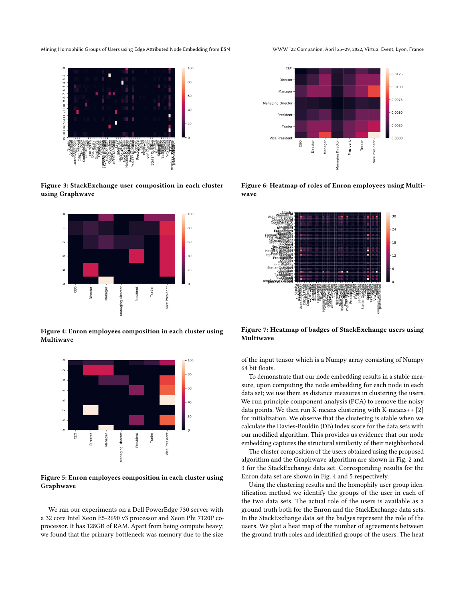<span id="page-6-0"></span>

Figure 3: StackExchange user composition in each cluster using Graphwave

<span id="page-6-1"></span>

Figure 4: Enron employees composition in each cluster using Multiwave

<span id="page-6-2"></span>

Figure 5: Enron employees composition in each cluster using Graphwave

We ran our experiments on a Dell PowerEdge 730 server with a 32 core Intel Xeon E5-2690 v3 processor and Xeon Phi 7120P coprocessor. It has 128GB of RAM. Apart from being compute heavy; we found that the primary bottleneck was memory due to the size

<span id="page-6-3"></span>

Figure 6: Heatmap of roles of Enron employees using Multiwave

<span id="page-6-4"></span>

Figure 7: Heatmap of badges of StackExchange users using Multiwave

of the input tensor which is a Numpy array consisting of Numpy 64 bit floats.

To demonstrate that our node embedding results in a stable measure, upon computing the node embedding for each node in each data set; we use them as distance measures in clustering the users. We run principle component analysis (PCA) to remove the noisy data points. We then run K-means clustering with K-means++ [\[2\]](#page-8-37) for initialization. We observe that the clustering is stable when we calculate the Davies-Bouldin (DB) Index score for the data sets with our modified algorithm. This provides us evidence that our node embedding captures the structural similarity of their neighborhood.

The cluster composition of the users obtained using the proposed algorithm and the Graphwave algorithm are shown in Fig. [2](#page-5-1) and [3](#page-6-0) for the StackExchange data set. Corresponding results for the Enron data set are shown in Fig. [4](#page-6-1) and [5](#page-6-2) respectively.

Using the clustering results and the homophily user group identification method we identify the groups of the user in each of the two data sets. The actual role of the users is available as a ground truth both for the Enron and the StackExchange data sets. In the StackExchange data set the badges represent the role of the users. We plot a heat map of the number of agreements between the ground truth roles and identified groups of the users. The heat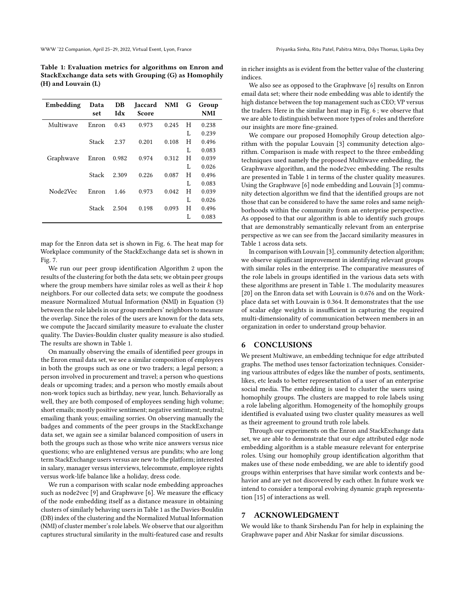<span id="page-7-0"></span>Table 1: Evaluation metrics for algorithms on Enron and StackExchange data sets with Grouping (G) as Homophily (H) and Louvain (L)

| Embedding | Data<br>set | DB<br>Idx | Jaccard<br>Score | <b>NMI</b> | G | Group<br><b>NMI</b> |
|-----------|-------------|-----------|------------------|------------|---|---------------------|
| Multiwave | Enron       | 0.43      | 0.973            | 0.245      | H | 0.238               |
|           |             |           |                  |            | L | 0.239               |
|           | Stack       | 2.37      | 0.201            | 0.108      | H | 0.496               |
|           |             |           |                  |            | L | 0.083               |
| Graphwave | Enron       | 0.982     | 0.974            | 0.312      | H | 0.039               |
|           |             |           |                  |            | L | 0.026               |
|           | Stack       | 2.309     | 0.226            | 0.087      | H | 0.496               |
|           |             |           |                  |            | L | 0.083               |
| Node2Vec  | Enron       | 1.46      | 0.973            | 0.042      | H | 0.039               |
|           |             |           |                  |            | L | 0.026               |
|           | Stack       | 2.504     | 0.198            | 0.093      | H | 0.496               |
|           |             |           |                  |            | L | 0.083               |

map for the Enron data set is shown in Fig. [6.](#page-6-3) The heat map for Workplace community of the StackExchange data set is shown in Fig. [7.](#page-6-4)

We run our peer group identification Algorithm [2](#page-4-0) upon the results of the clustering for both the data sets; we obtain peer groups where the group members have similar roles as well as their  $k$  hop neighbors. For our collected data sets; we compute the goodness measure Normalized Mutual Information (NMI) in Equation [\(3\)](#page-4-1) between the role labels in our group members' neighbors to measure the overlap. Since the roles of the users are known for the data sets, we compute the Jaccard similarity measure to evaluate the cluster quality. The Davies-Bouldin cluster quality measure is also studied. The results are shown in Table [1.](#page-7-0)

On manually observing the emails of identified peer groups in the Enron email data set, we see a similar composition of employees in both the groups such as one or two traders; a legal person; a person involved in procurement and travel; a person who questions deals or upcoming trades; and a person who mostly emails about non-work topics such as birthday, new year, lunch. Behaviorally as well, they are both composed of employees sending high volume; short emails; mostly positive sentiment; negative sentiment; neutral; emailing thank yous; emailing sorries. On observing manually the badges and comments of the peer groups in the StackExchange data set, we again see a similar balanced composition of users in both the groups such as those who write nice answers versus nice questions; who are enlightened versus are pundits; who are long term StackExchange users versus are new to the platform; interested in salary, manager versus interviews, telecommute, employee rights versus work-life balance like a holiday, dress code.

We run a comparison with scalar node embedding approaches such as node2vec [\[9\]](#page-8-8) and Graphwave [\[6\]](#page-8-21). We measure the efficacy of the node embedding itself as a distance measure in obtaining clusters of similarly behaving users in Table [1](#page-7-0) as the Davies-Bouldin (DB) index of the clustering and the Normalized Mutual Information (NMI) of cluster member's role labels. We observe that our algorithm captures structural similarity in the multi-featured case and results in richer insights as is evident from the better value of the clustering indices.

We also see as opposed to the Graphwave [\[6\]](#page-8-21) results on Enron email data set; where their node embedding was able to identify the high distance between the top management such as CEO; VP versus the traders. Here in the similar heat map in Fig. [6](#page-6-3) ; we observe that we are able to distinguish between more types of roles and therefore our insights are more fine-grained.

We compare our proposed Homophily Group detection algorithm with the popular Louvain [\[3\]](#page-8-19) community detection algorithm. Comparison is made with respect to the three embedding techniques used namely the proposed Multiwave embedding, the Graphwave algorithm, and the node2vec embedding. The results are presented in Table [1](#page-7-0) in terms of the cluster quality measures. Using the Graphwave [\[6\]](#page-8-21) node embedding and Louvain [\[3\]](#page-8-19) community detection algorithm we find that the identified groups are not those that can be considered to have the same roles and same neighborhoods within the community from an enterprise perspective. As opposed to that our algorithm is able to identify such groups that are demonstrably semantically relevant from an enterprise perspective as we can see from the Jaccard similarity measures in Table [1](#page-7-0) across data sets.

In comparison with Louvain [\[3\]](#page-8-19), community detection algorithm; we observe significant improvement in identifying relevant groups with similar roles in the enterprise. The comparative measures of the role labels in groups identified in the various data sets with these algorithms are present in Table [1.](#page-7-0) The modularity measures [\[20\]](#page-8-38) on the Enron data set with Louvain is 0.676 and on the Workplace data set with Louvain is 0.364. It demonstrates that the use of scalar edge weights is insufficient in capturing the required multi-dimensionality of communication between members in an organization in order to understand group behavior.

## 6 CONCLUSIONS

We present Multiwave, an embedding technique for edge attributed graphs. The method uses tensor factorization techniques. Considering various attributes of edges like the number of posts, sentiments, likes, etc leads to better representation of a user of an enterprise social media. The embedding is used to cluster the users using homophily groups. The clusters are mapped to role labels using a role labeling algorithm. Homogeneity of the homophily groups identified is evaluated using two cluster quality measures as well as their agreement to ground truth role labels.

Through our experiments on the Enron and StackExchange data set, we are able to demonstrate that our edge attributed edge node embedding algorithm is a stable measure relevant for enterprise roles. Using our homophily group identification algorithm that makes use of these node embedding, we are able to identify good groups within enterprises that have similar work contexts and behavior and are yet not discovered by each other. In future work we intend to consider a temporal evolving dynamic graph representation [\[15\]](#page-8-39) of interactions as well.

## 7 ACKNOWLEDGMENT

We would like to thank Sirshendu Pan for help in explaining the Graphwave paper and Abir Naskar for similar discussions.